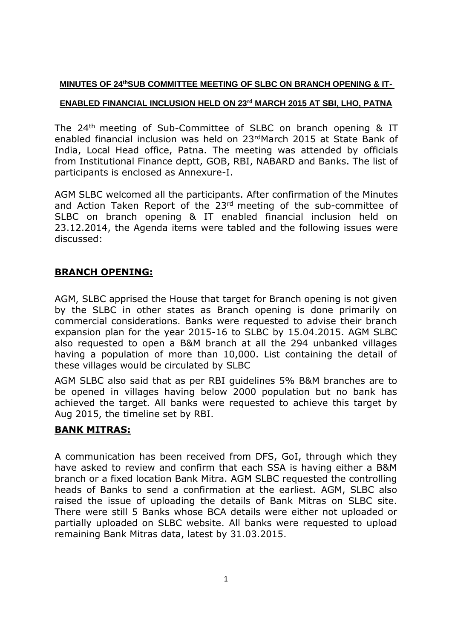### **MINUTES OF 24<sup>th</sup>SUB COMMITTEE MEETING OF SLBC ON BRANCH OPENING & IT-**

## **ENABLED FINANCIAL INCLUSION HELD ON 23rd MARCH 2015 AT SBI, LHO, PATNA**

The 24th meeting of Sub-Committee of SLBC on branch opening & IT enabled financial inclusion was held on 23rdMarch 2015 at State Bank of India, Local Head office, Patna. The meeting was attended by officials from Institutional Finance deptt, GOB, RBI, NABARD and Banks. The list of participants is enclosed as Annexure-I.

AGM SLBC welcomed all the participants. After confirmation of the Minutes and Action Taken Report of the 23<sup>rd</sup> meeting of the sub-committee of SLBC on branch opening & IT enabled financial inclusion held on 23.12.2014, the Agenda items were tabled and the following issues were discussed:

## **BRANCH OPENING:**

AGM, SLBC apprised the House that target for Branch opening is not given by the SLBC in other states as Branch opening is done primarily on commercial considerations. Banks were requested to advise their branch expansion plan for the year 2015-16 to SLBC by 15.04.2015. AGM SLBC also requested to open a B&M branch at all the 294 unbanked villages having a population of more than 10,000. List containing the detail of these villages would be circulated by SLBC

AGM SLBC also said that as per RBI guidelines 5% B&M branches are to be opened in villages having below 2000 population but no bank has achieved the target. All banks were requested to achieve this target by Aug 2015, the timeline set by RBI.

## **BANK MITRAS:**

A communication has been received from DFS, GoI, through which they have asked to review and confirm that each SSA is having either a B&M branch or a fixed location Bank Mitra. AGM SLBC requested the controlling heads of Banks to send a confirmation at the earliest. AGM, SLBC also raised the issue of uploading the details of Bank Mitras on SLBC site. There were still 5 Banks whose BCA details were either not uploaded or partially uploaded on SLBC website. All banks were requested to upload remaining Bank Mitras data, latest by 31.03.2015.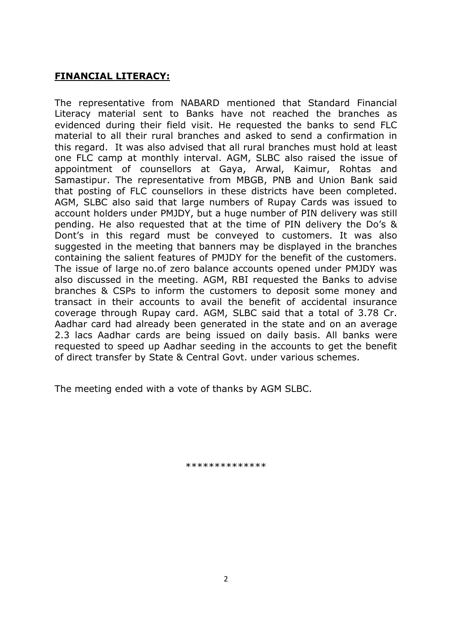# **FINANCIAL LITERACY:**

The representative from NABARD mentioned that Standard Financial Literacy material sent to Banks have not reached the branches as evidenced during their field visit. He requested the banks to send FLC material to all their rural branches and asked to send a confirmation in this regard. It was also advised that all rural branches must hold at least one FLC camp at monthly interval. AGM, SLBC also raised the issue of appointment of counsellors at Gaya, Arwal, Kaimur, Rohtas and Samastipur. The representative from MBGB, PNB and Union Bank said that posting of FLC counsellors in these districts have been completed. AGM, SLBC also said that large numbers of Rupay Cards was issued to account holders under PMJDY, but a huge number of PIN delivery was still pending. He also requested that at the time of PIN delivery the Do's & Dont's in this regard must be conveyed to customers. It was also suggested in the meeting that banners may be displayed in the branches containing the salient features of PMJDY for the benefit of the customers. The issue of large no.of zero balance accounts opened under PMJDY was also discussed in the meeting. AGM, RBI requested the Banks to advise branches & CSPs to inform the customers to deposit some money and transact in their accounts to avail the benefit of accidental insurance coverage through Rupay card. AGM, SLBC said that a total of 3.78 Cr. Aadhar card had already been generated in the state and on an average 2.3 lacs Aadhar cards are being issued on daily basis. All banks were requested to speed up Aadhar seeding in the accounts to get the benefit of direct transfer by State & Central Govt. under various schemes.

The meeting ended with a vote of thanks by AGM SLBC.

\*\*\*\*\*\*\*\*\*\*\*\*\*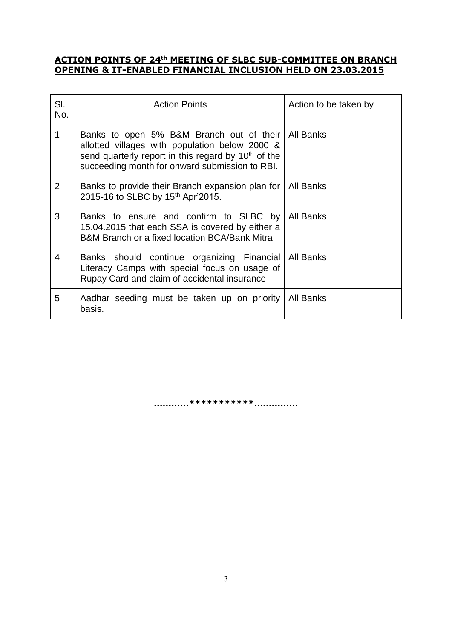#### **ACTION POINTS OF 24 th MEETING OF SLBC SUB-COMMITTEE ON BRANCH OPENING & IT-ENABLED FINANCIAL INCLUSION HELD ON 23.03.2015**

| SI.<br>No.     | <b>Action Points</b>                                                                                                                                                                                                        | Action to be taken by |
|----------------|-----------------------------------------------------------------------------------------------------------------------------------------------------------------------------------------------------------------------------|-----------------------|
| 1              | Banks to open 5% B&M Branch out of their   All Banks<br>allotted villages with population below 2000 &<br>send quarterly report in this regard by 10 <sup>th</sup> of the<br>succeeding month for onward submission to RBI. |                       |
| $\overline{2}$ | Banks to provide their Branch expansion plan for   All Banks<br>2015-16 to SLBC by 15th Apr'2015.                                                                                                                           |                       |
| 3              | Banks to ensure and confirm to SLBC by All Banks<br>15.04.2015 that each SSA is covered by either a<br>B&M Branch or a fixed location BCA/Bank Mitra                                                                        |                       |
| 4              | Banks should continue organizing Financial   All Banks<br>Literacy Camps with special focus on usage of<br>Rupay Card and claim of accidental insurance                                                                     |                       |
| 5              | Aadhar seeding must be taken up on priority<br>basis.                                                                                                                                                                       | All Banks             |

**…………\*\*\*\*\*\*\*\*\*\*\*……………**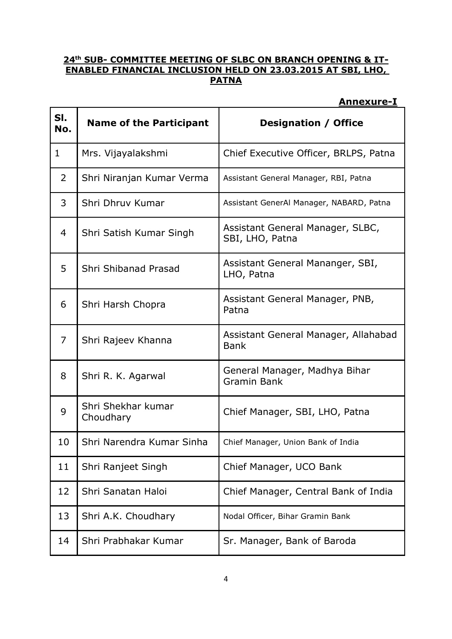### **24th SUB- COMMITTEE MEETING OF SLBC ON BRANCH OPENING & IT-ENABLED FINANCIAL INCLUSION HELD ON 23.03.2015 AT SBI, LHO, PATNA**

## **Annexure-I**

| SI.<br>No.     | <b>Name of the Participant</b>  | <b>Designation / Office</b>                         |
|----------------|---------------------------------|-----------------------------------------------------|
| 1              | Mrs. Vijayalakshmi              | Chief Executive Officer, BRLPS, Patna               |
| $\overline{2}$ | Shri Niranjan Kumar Verma       | Assistant General Manager, RBI, Patna               |
| 3              | Shri Dhruv Kumar                | Assistant GenerAl Manager, NABARD, Patna            |
| 4              | Shri Satish Kumar Singh         | Assistant General Manager, SLBC,<br>SBI, LHO, Patna |
| 5              | Shri Shibanad Prasad            | Assistant General Mananger, SBI,<br>LHO, Patna      |
| 6              | Shri Harsh Chopra               | Assistant General Manager, PNB,<br>Patna            |
| $\overline{7}$ | Shri Rajeev Khanna              | Assistant General Manager, Allahabad<br><b>Bank</b> |
| 8              | Shri R. K. Agarwal              | General Manager, Madhya Bihar<br><b>Gramin Bank</b> |
| 9              | Shri Shekhar kumar<br>Choudhary | Chief Manager, SBI, LHO, Patna                      |
| 10             | Shri Narendra Kumar Sinha       | Chief Manager, Union Bank of India                  |
| 11             | Shri Ranjeet Singh              | Chief Manager, UCO Bank                             |
| 12             | Shri Sanatan Haloi              | Chief Manager, Central Bank of India                |
| 13             | Shri A.K. Choudhary             | Nodal Officer, Bihar Gramin Bank                    |
| 14             | Shri Prabhakar Kumar            | Sr. Manager, Bank of Baroda                         |